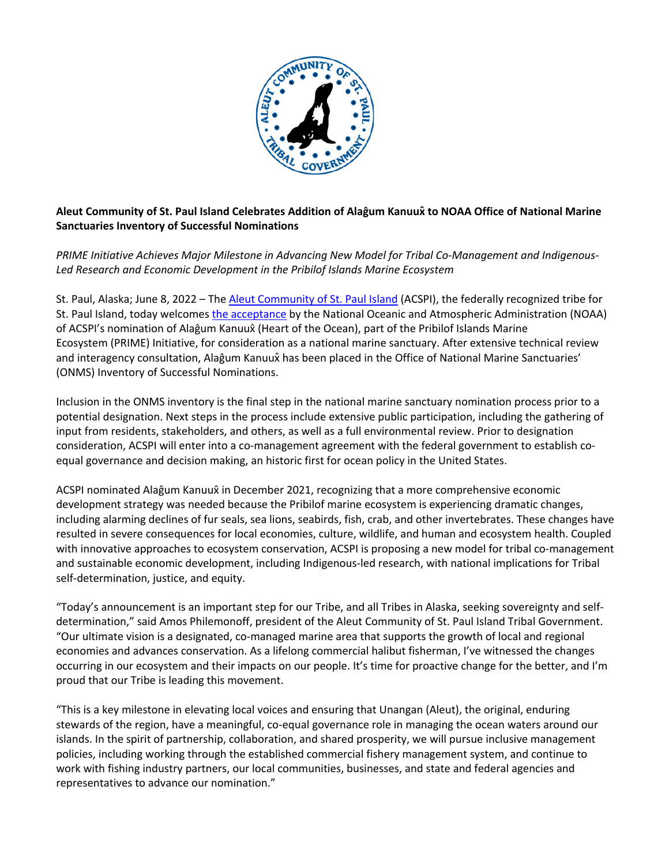

## **Aleut Community of St. Paul Island Celebrates Addition of Alaĝum Kanuux̂to NOAA Office of National Marine Sanctuaries Inventory of Successful Nominations**

*PRIME Initiative Achieves Major Milestone in Advancing New Model for Tribal Co-Management and Indigenous-Led Research and Economic Development in the Pribilof Islands Marine Ecosystem*

St. Paul, Alaska; June 8, 2022 – The Aleut Community of St. Paul Island (ACSPI), the federally recognized tribe for St. Paul Island, today welcomes the acceptance by the National Oceanic and Atmospheric Administration (NOAA) of ACSPI's nomination of Alaĝum Kanuux̂(Heart of the Ocean), part of the Pribilof Islands Marine Ecosystem (PRIME) Initiative, for consideration as a national marine sanctuary. After extensive technical review and interagency consultation, Alaĝum Kanuux̂ has been placed in the Office of National Marine Sanctuaries' (ONMS) Inventory of Successful Nominations.

Inclusion in the ONMS inventory is the final step in the national marine sanctuary nomination process prior to a potential designation. Next steps in the process include extensive public participation, including the gathering of input from residents, stakeholders, and others, as well as a full environmental review. Prior to designation consideration, ACSPI will enter into a co-management agreement with the federal government to establish coequal governance and decision making, an historic first for ocean policy in the United States.

ACSPI nominated Alaĝum Kanuux̂ in December 2021, recognizing that a more comprehensive economic development strategy was needed because the Pribilof marine ecosystem is experiencing dramatic changes, including alarming declines of fur seals, sea lions, seabirds, fish, crab, and other invertebrates. These changes have resulted in severe consequences for local economies, culture, wildlife, and human and ecosystem health. Coupled with innovative approaches to ecosystem conservation, ACSPI is proposing a new model for tribal co-management and sustainable economic development, including Indigenous-led research, with national implications for Tribal self-determination, justice, and equity.

"Today's announcement is an important step for our Tribe, and all Tribes in Alaska, seeking sovereignty and selfdetermination," said Amos Philemonoff, president of the Aleut Community of St. Paul Island Tribal Government. "Our ultimate vision is a designated, co-managed marine area that supports the growth of local and regional economies and advances conservation. As a lifelong commercial halibut fisherman, I've witnessed the changes occurring in our ecosystem and their impacts on our people. It's time for proactive change for the better, and I'm proud that our Tribe is leading this movement.

"This is a key milestone in elevating local voices and ensuring that Unangan (Aleut), the original, enduring stewards of the region, have a meaningful, co-equal governance role in managing the ocean waters around our islands. In the spirit of partnership, collaboration, and shared prosperity, we will pursue inclusive management policies, including working through the established commercial fishery management system, and continue to work with fishing industry partners, our local communities, businesses, and state and federal agencies and representatives to advance our nomination."